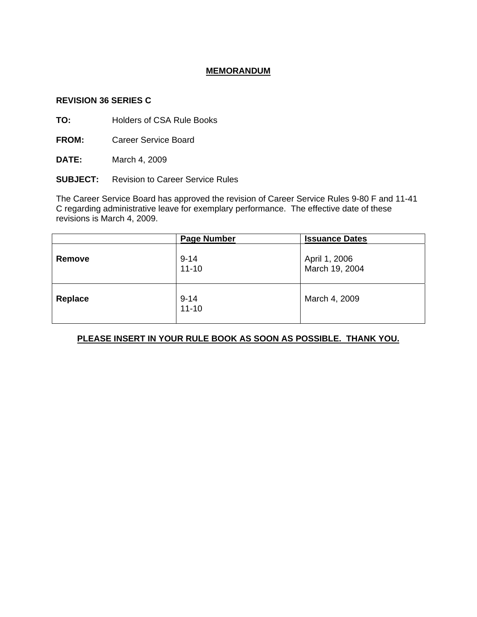# **MEMORANDUM**

### **REVISION 36 SERIES C**

**TO:** Holders of CSA Rule Books

**FROM:** Career Service Board

**DATE:** March 4, 2009

**SUBJECT:** Revision to Career Service Rules

The Career Service Board has approved the revision of Career Service Rules 9-80 F and 11-41 C regarding administrative leave for exemplary performance. The effective date of these revisions is March 4, 2009.

|         | <b>Page Number</b>    | <b>Issuance Dates</b>           |
|---------|-----------------------|---------------------------------|
| Remove  | $9 - 14$<br>$11 - 10$ | April 1, 2006<br>March 19, 2004 |
| Replace | $9 - 14$<br>$11 - 10$ | March 4, 2009                   |

# **PLEASE INSERT IN YOUR RULE BOOK AS SOON AS POSSIBLE. THANK YOU.**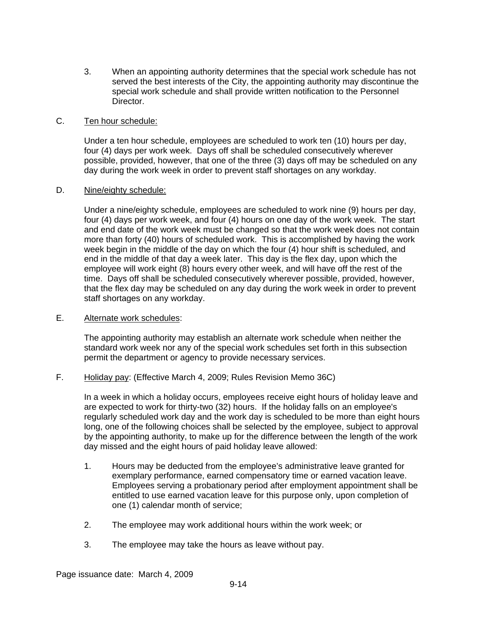3. When an appointing authority determines that the special work schedule has not served the best interests of the City, the appointing authority may discontinue the special work schedule and shall provide written notification to the Personnel Director.

### C. Ten hour schedule:

Under a ten hour schedule, employees are scheduled to work ten (10) hours per day, four (4) days per work week. Days off shall be scheduled consecutively wherever possible, provided, however, that one of the three (3) days off may be scheduled on any day during the work week in order to prevent staff shortages on any workday.

#### D. Nine/eighty schedule:

Under a nine/eighty schedule, employees are scheduled to work nine (9) hours per day, four (4) days per work week, and four (4) hours on one day of the work week. The start and end date of the work week must be changed so that the work week does not contain more than forty (40) hours of scheduled work. This is accomplished by having the work week begin in the middle of the day on which the four (4) hour shift is scheduled, and end in the middle of that day a week later. This day is the flex day, upon which the employee will work eight (8) hours every other week, and will have off the rest of the time. Days off shall be scheduled consecutively wherever possible, provided, however, that the flex day may be scheduled on any day during the work week in order to prevent staff shortages on any workday.

# E. Alternate work schedules:

The appointing authority may establish an alternate work schedule when neither the standard work week nor any of the special work schedules set forth in this subsection permit the department or agency to provide necessary services.

F. Holiday pay: (Effective March 4, 2009; Rules Revision Memo 36C)

In a week in which a holiday occurs, employees receive eight hours of holiday leave and are expected to work for thirty-two (32) hours. If the holiday falls on an employee's regularly scheduled work day and the work day is scheduled to be more than eight hours long, one of the following choices shall be selected by the employee, subject to approval by the appointing authority, to make up for the difference between the length of the work day missed and the eight hours of paid holiday leave allowed:

- 1. Hours may be deducted from the employee's administrative leave granted for exemplary performance, earned compensatory time or earned vacation leave. Employees serving a probationary period after employment appointment shall be entitled to use earned vacation leave for this purpose only, upon completion of one (1) calendar month of service;
- 2. The employee may work additional hours within the work week; or
- 3. The employee may take the hours as leave without pay.